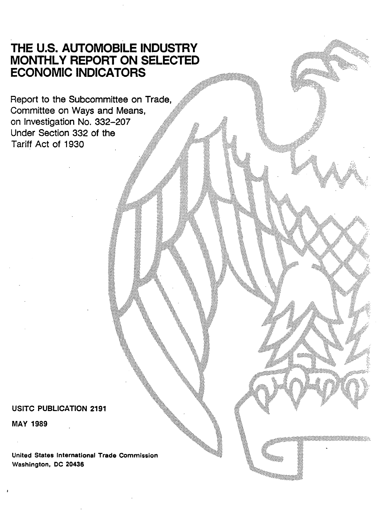# **THE U.S. AUTOMOBILE INDUSTRY MONTHLY REPORT ON SELECTED ECONOMIC INDICATORS**

Report to the Subcommittee on Trade, Committee on Ways and Means, on Investigation No. 332-207 Under Section 332 of the Tariff Act of 1930

USITC PUBLICATION 2191

MAY 1989

United States International Trade Commission Washington, DC 20436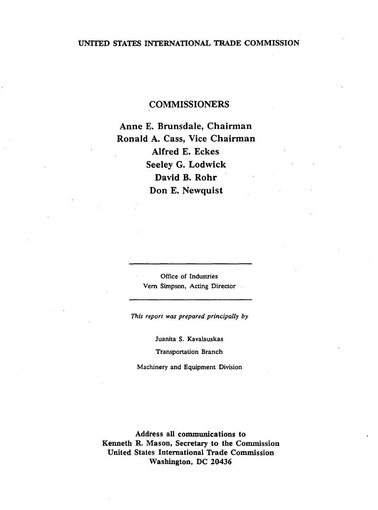### UNITED STATES INTERNATIONAL TRADE COMMISSION

### COMMISSIONERS

Anne E. Brunsdale, Chairman Ronald A. Cass, Vice Chairman Alfred E. Eckes Seeley G. Lodwick David B. Rohr Don E. Newquist

> Office of Industries Yem Simpson, Acting Director

*This report was prepared principally by* 

Juanita S. Kavalauskas

Transportation Branch

Machinery and Equipment Division

Address all communications to Kenneth R. Mason, Secretary to the Commission United States International Trade Commission Washington, DC 20436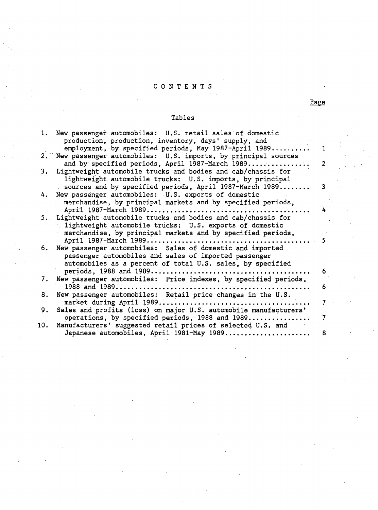### C 0 N T E N T S

### Tables

|     | 1. New passenger automobiles: U.S. retail sales of domestic<br>production, production, inventory, days' supply, and | $\mathbf{1}$   |
|-----|---------------------------------------------------------------------------------------------------------------------|----------------|
|     | employment, by specified periods, May 1987-April 1989                                                               |                |
|     | 2. New passenger automobiles: U.S. imports, by principal sources<br>and by specified periods, April 1987-March 1989 | $\overline{2}$ |
| 3.  | Lightweight automobile trucks and bodies and cab/chassis for                                                        |                |
|     | lightweight automobile trucks: U.S. imports, by principal                                                           |                |
|     | sources and by specified periods, April 1987-March 1989                                                             | 3              |
|     | 4. New passenger automobiles: U.S. exports of domestic                                                              |                |
|     | merchandise, by principal markets and by specified periods,                                                         |                |
|     |                                                                                                                     | $\overline{4}$ |
|     | 5. Lightweight automobile trucks and bodies and cab/chassis for                                                     |                |
|     | lightweight automobile trucks: U.S. exports of domestic                                                             |                |
|     | merchandise, by principal markets and by specified periods,                                                         |                |
|     | April 1987-March 1989                                                                                               | 5              |
| 6.  | New passenger automobiles: Sales of domestic and imported                                                           |                |
|     | passenger automobiles and sales of imported passenger                                                               |                |
|     | automobiles as a percent of total U.S. sales, by specified                                                          |                |
|     | periods, 1988 and 1989                                                                                              | 6              |
| 7.  | New passenger automobiles: Price indexes, by specified periods,                                                     |                |
|     |                                                                                                                     | 6              |
| 8.  | New passenger automobiles: Retail price changes in the U.S.                                                         |                |
|     |                                                                                                                     | 7              |
| 9.  | Sales and profits (loss) on major U.S. automobile manufacturers'                                                    |                |
|     | operations, by specified periods, 1988 and 1989                                                                     | $\overline{7}$ |
| 10. | Manufacturers' suggested retail prices of selected U.S. and                                                         |                |
|     | Japanese automobiles, April 1981-May 1989                                                                           | 8              |
|     |                                                                                                                     |                |

## Page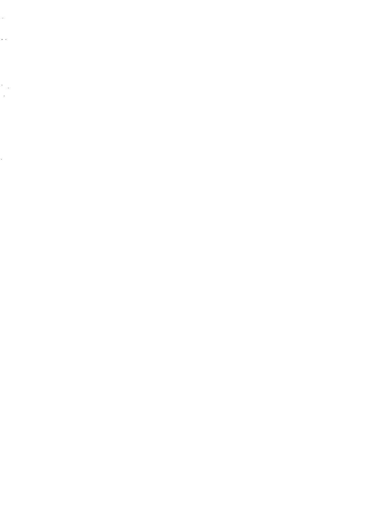### ý,

### $\ddot{\phi}$  .

k)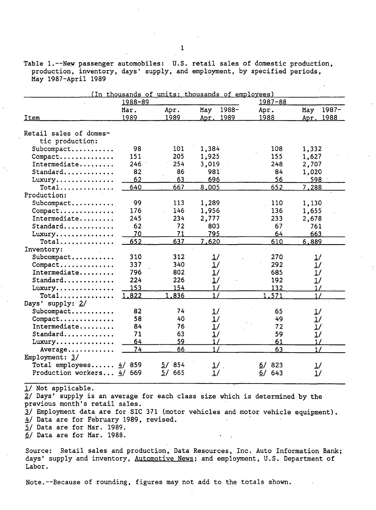Table 1.--New passenger automobiles: U.S. retail sales of domestic production, production, inventory, days' supply, and employment, by specified periods, May 1987-April 1989

|                            |         |           | (In thousands of units; thousands of employees) |             |                 |
|----------------------------|---------|-----------|-------------------------------------------------|-------------|-----------------|
|                            | 1988-89 |           |                                                 | $1987 - 88$ |                 |
|                            | Mar.    | Apr.      | 1988-<br>May                                    | Apr.        | $1987 -$<br>May |
| <b>Item</b>                | 1989    | 1989      | Apr. 1989                                       | 1988        | 1988<br>Arr.    |
|                            |         |           |                                                 |             |                 |
| Retail sales of domes-     |         |           |                                                 |             |                 |
| tic production:            |         |           |                                                 |             |                 |
| Subcompact                 | 98      | 101       | 1,384                                           | 108         | 1,332           |
| Compact                    | 151     | 205       | 1,925                                           | 155         | 1,627           |
| Intermediate               | 246     | 254       | 3,019                                           | 248         | 2,707           |
| Standard                   | $-82$   | 86        | 981                                             | 84          | 1,020           |
| Luxury                     | 62      | 63        | 696                                             | 56          | 598             |
| $Total$                    | 6.40    | 667       | 8,005                                           | 652         | 7,288           |
| Production:                |         |           |                                                 |             |                 |
| $Subcompact \ldots \ldots$ | 99      | 113       | 1,289                                           | 110         | 1,130           |
| Compact                    | 176     | 146       | 1,956                                           | 136         | 1,655           |
| Intermediate               | 245     | 234       | 2,777                                           | 233         | 2,678           |
| Standard                   | 62      | 72        | 803                                             | 67          | 761             |
| Luxury                     | 70      | 71        | 795                                             | 64          | 663             |
| $Total$                    | 652     | 637       | 7,620                                           | 610         | 6,889           |
| Inventory:                 |         |           |                                                 |             |                 |
| Subcompact                 | 310     | 312       | 1/                                              | 270         | 1/              |
| Compact                    | 337     | 340       | 1/                                              | 292         | 1/              |
| Intermediate               | 796     | 802       | 1/                                              | 685         | 1/              |
| Standard                   | 224     | 226       | 1/                                              | 192         | 1/              |
| Luxury                     | 153     | 154       | 1/                                              | 132         | <u>1/</u>       |
| $Total$                    | 1,822   | 1,836     | 1/                                              | 571         | 1/              |
| Days' supply: 2/           |         |           |                                                 |             |                 |
| Subcompact                 | 82      | 74        | 1/                                              | 65          | 1/              |
| Compact                    | 58      | 40        | 1/                                              | 49          | 1/              |
| Intermediate               | 84      | 76        | 1/                                              | 72          | 1/              |
| Standard                   | 71      | 63        | 1/                                              | 59          | 1/              |
| Luxury                     | 64      | 59        | 1/                                              | 61          | 1/              |
| Average                    | 74      | 66        | 1/                                              | 63          | 1/              |
| Employment: $3/$           |         |           |                                                 |             |                 |
| Total employees $4/$       | 859     | $5/$ 854  | 1/                                              | 6/823       |                 |
| Production workers $4/$    | 669     | 665<br>5/ | 1/                                              | 6/643       | 1/<br>1/        |
|                            |         |           |                                                 |             |                 |

1/ Not applicable.

2/ Days' supply is an average for each class size which is determined by the previous month's retail sales.

*11* Employment data are for SIC 371 (motor vehicles and motor vehicle equipment).  $4/$  Data are for February 1989, revised.

 $5/$  Data are for Mar. 1989.

§/ Data are for Mar. 1988.

Source: Retail sales and production, Data Resources, Inc. Auto Information Bank; days' supply and inventory, Automotive News; and employment, U.S. Department of Labor.

Note.--Because of rounding, figures may not add to the totals shown.

1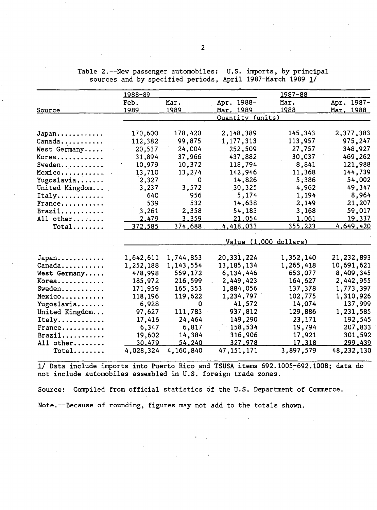|                                              | 1988-89   |            |                       | $1987 - 88$ |                    |
|----------------------------------------------|-----------|------------|-----------------------|-------------|--------------------|
|                                              | Feb.      | Mar.       | Apr. 1988-            | Mar.        | Apr. 1987-         |
| <u>Source</u>                                | 1989      | 1989       | Mar. 1989             | 1988        | <u> Mar, 1988 </u> |
|                                              |           |            | Quantity (units)      |             |                    |
| Japan                                        | 170,600   | 178,420    | 2,148,389             | 145,343     | 2,377,383          |
| Canada                                       | 112,382   | 99,875     | 1,177,313             | 113,957     | 975,247            |
| West Germany                                 | 20,537    | 24,004     | 252,509               | 27,757      | 348,927            |
| Korea                                        | 31,894    | 37,966     | 437,882               | 30,037      | 469,262            |
| Sweden                                       | 10,979    | 10,372     | 118,794               | 8,841       | 121,988            |
| Mexico                                       | 13,710    | 13,274     | 142,946               | 11,368      | 144,739            |
| Yugoslavia                                   | 2,327     | 0          | 14,826                | 5,386       | 54,002             |
| United Kingdom                               | 3,237     | 3,572      | 30,325                | 4,962       | 49,347             |
| Italy                                        | 640       | 956        | 5,174                 | 1,194       | 8,964              |
| France                                       | 539       | 532        | 14,638                | 2,149       | 21,207             |
| $Brazil \ldots \ldots$                       | 3,261     | 2,358      | 54,183                | 3,168       | 59,017             |
| All other                                    | 2,479     | 3,359      | 21,054                | 1,061       | 19,337             |
| $Total$                                      | 372,585   | 374,688    | 4.418.033             | 355,223     | 4,649,420          |
|                                              |           |            | Value (1,000 dollars) |             |                    |
| $\mathtt{Japan} \ldots \ldots \ldots \ldots$ | 1,642,611 | 1,744,853  | 20,331,224            | 1,352,140   | 21,232,893         |
| Canada                                       | 1,252,188 | 1,143,554  | 13, 185, 134          | 1,265,418   | 10,691,621         |
| West Germany                                 | 478,998   | 559,172    | 6,134,446             | 653,077     | 8,409,345          |
| Korea                                        | 185,972   | 216,599    | 2,449,423             | 164,627     | 2,442,955          |
| Sweden                                       | 171,959   | $-165,353$ | 1,884,056             | 137,378     | 1,773,397          |
| Mexico                                       | 118,196   | 119,622    | 1,234,797             | 102,775     | 1,310,926          |
| Yugoslavia                                   | 6,928     | 0          | 41,572                | 14,074      | 137,999            |
| United Kingdom                               | 97,627    | 111,783    | 937,812               | 129,886     | 1,231,585          |
| $Italy \ldots \ldots$                        | 17,416    | 24,464     | 149,290               | 23,171      | 192,545            |
| France                                       | 6,347     | 6,817      | 158,534               | 19,794      | 207,833            |
| $Brazil$                                     | 19,602    | 14,384     | 316,906               | 17,921      | 301,592            |
| All other                                    | 30,479    | 54,240     | 327,978               | 17,318      | 299.439            |
| $Total$                                      | 4,028,324 | 4,160,840  | 47, 151, 171          | 3,897,579   | 48,232,130         |

Table 2.--New passenger automobiles: U.S. imports, by principal sources and by specified periods, April 1987-March 1989 *11* 

1/ Data include imports into Puerto Rico and TSUSA items 692.1005-692.1008; data do not include automobiles assembled in U.S. foreign trade zones.

Source: Compiled from official statistics of the U.S. Department of Commerce. Note.--Because of rounding, figures may not add to the totals shown.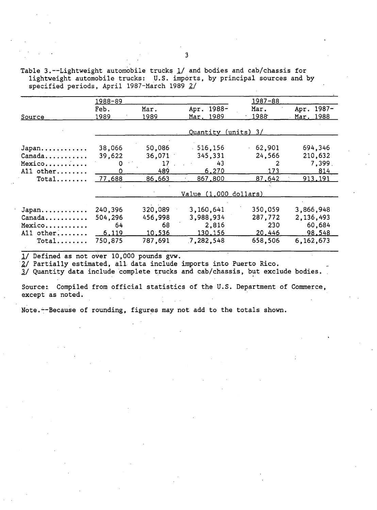Table 3.--Lightweight automobile trucks  $1/$  and bodies and cab/chassis for lightweight automobile trucks: U.S. imports, by principal sources and by specified periods, April 1987-March 1989 2/

|                | 1988-89      |              |                         | $1987 - 88$   |                         |
|----------------|--------------|--------------|-------------------------|---------------|-------------------------|
| Source         | Feb.<br>1989 | Mar.<br>1989 | Apr. 1988-<br>Mar. 1989 | Mar.<br>1988. | Apr. 1987-<br>Mar. 1988 |
|                |              |              |                         |               |                         |
|                |              |              | Quantity (units) 3/     |               |                         |
| Japan          | 38,066       | 50,086       | .516, 156               | 62,901        | 694,346                 |
| Canada         | 39,622       | 36,071       | 345,331                 | 24,566        | 210,632                 |
| Mexico         |              | 17           | 43                      | 2             | 7,399                   |
| All other      |              | 489          | 6,270                   | 173           | 814                     |
| $Total$        | 77,688       | 86,663       | 867,800                 | 87,642        | 913, 191                |
|                |              |              |                         |               |                         |
|                |              |              | Value (1,000 dollars)   |               |                         |
| Japan          | 240,396      | 320,089      | 3,160,641               | 350,059       | 3,866,948               |
| Canada         | 504,296      | 456.998      | 3,988,934               | 287,772       | 2.136,493               |
| Mexico         | 64           | 68           | 2,816                   | 230           | 60,684                  |
| All other      | 6,119        | 10,536       | 130,156                 | 20,446        | 98,548                  |
| $Total \ldots$ | 750,875      | 787.691      | 7,282,548               | 658,506       | 6,162,673               |

1/ Defined as not over 10,000 pounds gvw.

2/ Partially estimated, all data include imports into Puerto Rico.

 $\overline{3}$ / Quantity data include complete trucks and cab/ chassis, but exclude bodies.

Source: Compiled from official statistics of the U.S. Department of Commerce, except as noted.

Note.--Because of rounding, figures may not add to the totals shown.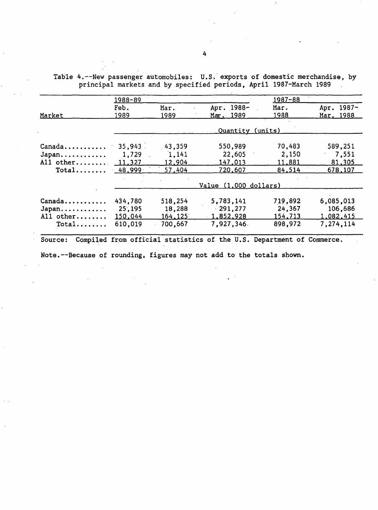Table 4.--New passenger automobiles: U.S. exports of domestic merchandise, by principal markets and by specified periods, April 1987-March 1989

|                       | 1988-89 |         |                         | $1987 - 88$ |            |
|-----------------------|---------|---------|-------------------------|-------------|------------|
|                       | Feb.    | Mar.    | Apr. 1988-              | Mar.        | Apr. 1987- |
| Market                | 1989    | 1989    | Mar. 1989               | 1988        | Mar. 1988  |
|                       |         |         | Quantity (units)        |             |            |
| Canada                | 35,943  | 43,359  | 550,989                 | 70,483      | 589,251    |
| Japan                 | 1,729   | 1.141   | 22,605                  | 2,150       | 7,551      |
| All other             | 11,327  | 12,904  | 147,013                 | 11,881      | 81,305     |
| $Total$               | 48.999  | 57,404  | 720,607                 | 84,514      | 678,107    |
|                       |         |         | Value $(1,000$ dollars) |             |            |
| Canada                | 434,780 | 518,254 | 5,783,141               | 719,892     | 6,085,013  |
| Japan                 | 25,195  | 18,288  | $-291,277$              | 24,367      | 106,686    |
| All other             | 150,044 | 164.125 | 1,852,928               | 154,713     | 1,082,415  |
| $Total \ldots \ldots$ | 610,019 | 700,667 | 7,927,346.              | 898,972     | 7,274,114  |

Source: Compiled from official statistics of the U.S. Department of Commerce.

Note.--Because of rounding, figures may not add to the totals shown.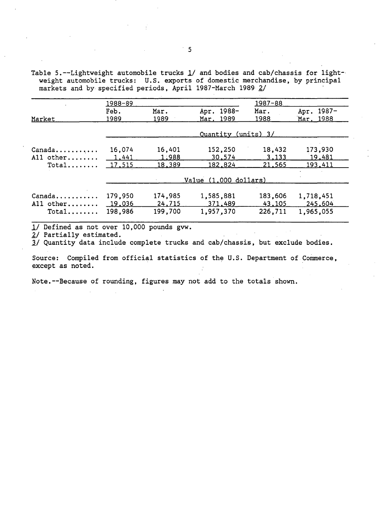Table 5.--Lightweight automobile trucks 1/ and bodies and cab/chassis for lightweight automobile trucks: U.S. exports of domestic merchandise, by principal markets and by specified periods, April 1987-March 1989 2/

|           | 1988-89 |         |                       | $1987 - 88$ |            |  |
|-----------|---------|---------|-----------------------|-------------|------------|--|
| Market    | Feb.    | Mar.    | Apr. 1988-            | Mar.        | Apr. 1987- |  |
|           | 1989    | 1989    | Mar. 1989             | 1988        | Mar. 1988  |  |
|           |         |         | Quantity (units) 3/   |             |            |  |
| Canada    | 16,074  | 16,401  | 152,250               | 18,432      | 173,930    |  |
| All other | 1,441   | 1,988   | 30,574                | 3,133       | 19,481     |  |
| $Total$   | 17,515  | 18,389  | 182,824               | 21,565      | 193,411    |  |
|           |         |         | Value (1.000 dollars) |             |            |  |
| Canada    | 179,950 | 174.985 | 1,585,881             | 183,606     | 1,718,451  |  |
| All other | 19,036  | 24,715  | 371,489               | 43,105      | 245,604    |  |
| $Total$   | 198,986 | 199,700 | 1,957,370             | 226,711     | 1,965,055  |  |

1/ Defined as not over 10,000 pounds gvw.

 $2/$  Partially estimated.

3/ Quantity data include complete trucks and cab/chassis, but exclude bodies.

Source: Compiled from official statistics of the U.S. Department of Commerce, except as noted.

Note.--Because of rounding, figures may not add to the totals shown.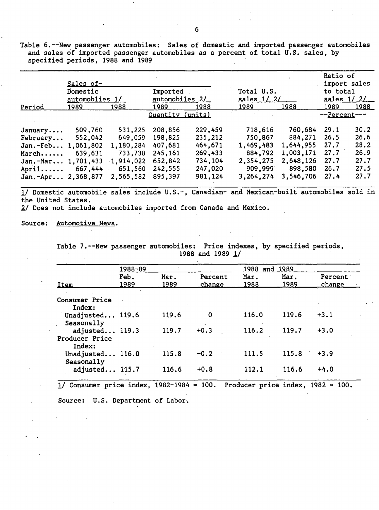Table 6.--New passenger automobiles: Sales of domestic and imported passenger automobiles and sales of imported passenger automobiles as a percent of total U.S. sales, by specified periods, 1988 and 1989

|                    | Sales of-      |           |                |         |              |           | Ratio of     | import sales |
|--------------------|----------------|-----------|----------------|---------|--------------|-----------|--------------|--------------|
|                    | Domestic       |           | Imported       |         | Total U.S.   |           | to total     |              |
|                    | automoblies 1/ |           | automobiles 2/ |         | sales $1/2/$ |           | sales $1/2/$ |              |
| Period             | 1989           | 1988      | 1989           | 1988    | 1989         | 1988      | 1989.        | 1988         |
|                    |                |           | Quantity       | (units) |              |           | --Percent--- |              |
| January            | 509,760        | 531,225   | 208,856        | 229,459 | 718,616      | 760.684   | 29.1         | 30.2         |
| February           | 552,042        | 649,059   | 198,825        | 235,212 | 750,867      | 884.271   | 26.5         | 26.6         |
| Jan.-Feb 1.061.802 |                | 1,180,284 | 407,681        | 464,671 | 1,469,483    | 1,644,955 | 27.7         | 28.2         |
| March              | 639,631        | 733,738   | 245, 161       | 269,433 | 884,792      | 1,003,171 | 27.7         | 26.9         |
| Jan.-Mar 1.701.433 |                | 1.914.022 | 652,842        | 734,104 | 2,354,275    | 2,648,126 | 27.7         | 27.7         |
| Aril               | 667,444        | 651,560   | 242,555        | 247,020 | 909.999      | 898,580   | 26.7         | 27.5         |
| Jan.-Apr 2,368,877 |                | 2,565,582 | 895,397        | 981,124 | 3.264.274    | 3,546,706 | 27.4         | 27.7         |

1/ Domestic automobile sales include U.S.-, Canadian- and Mexican-built automobiles sold in the United States.

2/ Does not include automobiles imported from Canada and Mexico.

Source: Automotive News.

Table 7.--New passenger automobiles: Price indexes, by specified periods, 1988 and 1989 1/

|                                            | 1988-89      |              |                          | 1988 and 1989 |              |                            |  |
|--------------------------------------------|--------------|--------------|--------------------------|---------------|--------------|----------------------------|--|
| <u>Item</u>                                | Feb.<br>1989 | Mar.<br>1989 | Percent<br><u>change</u> | Mar.<br>1988  | Mar.<br>1989 | Percent<br><u>change :</u> |  |
| Consumer Price<br>Index:                   |              |              |                          |               |              |                            |  |
| Unadjusted 119.6<br>Seasonally             |              | 119.6        | 0                        | 116.0         | 119.6        | $+3.1$                     |  |
| adjusted 119.3<br>Producer Price<br>Index: |              | 119.7        | $+0.3$                   | 116.2         | 119.7        | $+3.0$                     |  |
| Unadjusted 116.0<br>Seasonally             |              | 115.8        | $-0.2$                   | 111.5         | 115.8        | $+3.9$                     |  |
| adjusted 115.7                             |              | 116.6        | $+0.8$                   | 112.1         | 116.6        | $+4.0$                     |  |

1/ Consumer price index, 1982-1984 = 100. Producer price index, 1982 = 100.

Source: U.S. Department of Labor.

6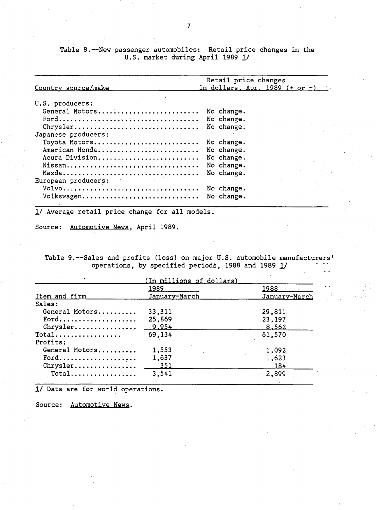Table 8.--New passenger automobiles: Retail price changes in the U.S. market during April 1989 1/

| Country source/make | Retail price changes<br>in dollars, Apr. 1989 $(+ or -)$                                                         |
|---------------------|------------------------------------------------------------------------------------------------------------------|
| U.S. producers:     |                                                                                                                  |
| General Motors      | No change.                                                                                                       |
|                     | No change.                                                                                                       |
| Chrysler            | No change.                                                                                                       |
| Japanese producers: |                                                                                                                  |
| Toyota Motors       | No change.                                                                                                       |
| American Honda      | No change.                                                                                                       |
| Acura Division      | No change.                                                                                                       |
| Nissan              | No change.                                                                                                       |
|                     | No change.                                                                                                       |
| European producers: | $\label{eq:2} \frac{1}{2}\left(\frac{1}{2}\right)^{2} \left(\frac{1}{2}\right)^{2} \left(\frac{1}{2}\right)^{2}$ |
|                     | No change.                                                                                                       |
| Volkswagen          | No change.                                                                                                       |

1/ Average retail price change for all models.

Source: Automotive News, April 1989.

Table 9.--Sales and profits (loss) on major U.S. automobile manufacturers' operations, by specified periods, 1988 and 1989 1/

|                                                     | (In millions of dollars) |               |
|-----------------------------------------------------|--------------------------|---------------|
|                                                     | <u> 1989</u>             | 1988          |
| Item and firm                                       | January-March            | January-March |
| Sales:                                              |                          |               |
| General Motors                                      | 33,311                   | 29,811        |
| Ford                                                | 25,869                   | 23,197        |
| Chrysler                                            | 9,954                    | 8,562         |
| $Total \dots \dots \dots \dots \dots$               | 69,134                   | 61,570        |
| Profits:                                            |                          |               |
| General Motors                                      | 1,553                    | 1,092         |
| $\texttt{Ford} \dots \dots \dots \dots \dots \dots$ | 1,637                    | 1,623         |
| Chrysler                                            | 351                      | 184           |
| $Total$                                             | 3,541                    | 2,899         |
|                                                     |                          |               |

1/ Data are for world operations.

Source: Automotive News.

7